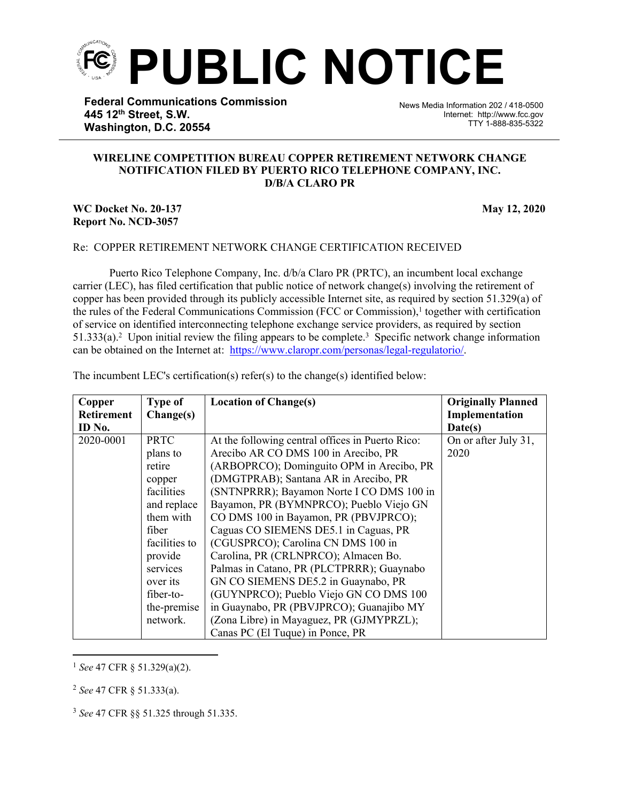**PUBLIC NOTICE**

֡֡֡֡

**Federal Communications Commission 445 12th Street, S.W. Washington, D.C. 20554**

News Media Information 202 / 418-0500 Internet: http://www.fcc.gov TTY 1-888-835-5322

## **WIRELINE COMPETITION BUREAU COPPER RETIREMENT NETWORK CHANGE NOTIFICATION FILED BY PUERTO RICO TELEPHONE COMPANY, INC. D/B/A CLARO PR**

## **WC Docket No. 20-137 May 12, 2020 Report No. NCD-3057**

## Re: COPPER RETIREMENT NETWORK CHANGE CERTIFICATION RECEIVED

Puerto Rico Telephone Company, Inc. d/b/a Claro PR (PRTC), an incumbent local exchange carrier (LEC), has filed certification that public notice of network change(s) involving the retirement of copper has been provided through its publicly accessible Internet site, as required by section 51.329(a) of the rules of the Federal Communications Commission (FCC or Commission),<sup>1</sup> together with certification of service on identified interconnecting telephone exchange service providers, as required by section 51.333(a).<sup>2</sup> Upon initial review the filing appears to be complete.<sup>3</sup> Specific network change information can be obtained on the Internet at: <https://www.claropr.com/personas/legal-regulatorio/>.

| Copper            | <b>Type of</b> | <b>Location of Change(s)</b>                     | <b>Originally Planned</b> |
|-------------------|----------------|--------------------------------------------------|---------------------------|
| <b>Retirement</b> | Change(s)      |                                                  | Implementation            |
| ID No.            |                |                                                  | Date(s)                   |
| 2020-0001         | <b>PRTC</b>    | At the following central offices in Puerto Rico: | On or after July 31,      |
|                   | plans to       | Arecibo AR CO DMS 100 in Arecibo, PR             | 2020                      |
|                   | retire         | (ARBOPRCO); Dominguito OPM in Arecibo, PR        |                           |
|                   | copper         | (DMGTPRAB); Santana AR in Arecibo, PR            |                           |
|                   | facilities     | (SNTNPRRR); Bayamon Norte I CO DMS 100 in        |                           |
|                   | and replace    | Bayamon, PR (BYMNPRCO); Pueblo Viejo GN          |                           |
|                   | them with      | CO DMS 100 in Bayamon, PR (PBVJPRCO);            |                           |
|                   | fiber          | Caguas CO SIEMENS DE5.1 in Caguas, PR            |                           |
|                   | facilities to  | (CGUSPRCO); Carolina CN DMS 100 in               |                           |
|                   | provide        | Carolina, PR (CRLNPRCO); Almacen Bo.             |                           |
|                   | services       | Palmas in Catano, PR (PLCTPRRR); Guaynabo        |                           |
|                   | over its       | GN CO SIEMENS DE5.2 in Guaynabo, PR              |                           |
|                   | fiber-to-      | (GUYNPRCO); Pueblo Viejo GN CO DMS 100           |                           |
|                   | the-premise    | in Guaynabo, PR (PBVJPRCO); Guanajibo MY         |                           |
|                   | network.       | (Zona Libre) in Mayaguez, PR (GJMYPRZL);         |                           |
|                   |                | Canas PC (El Tuque) in Ponce, PR                 |                           |

The incumbent LEC's certification(s) refer(s) to the change(s) identified below:

<sup>1</sup> *See* 47 CFR § 51.329(a)(2).

<sup>2</sup> *See* 47 CFR § 51.333(a).

<sup>3</sup> *See* 47 CFR §§ 51.325 through 51.335.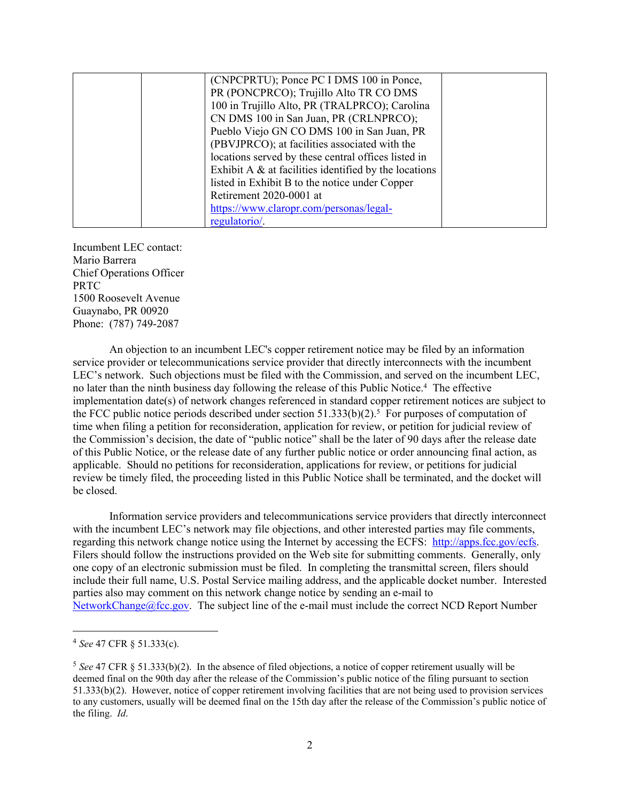| (CNPCPRTU); Ponce PC I DMS 100 in Ponce,      |                                                                                                                                                                                                                                                                                       |
|-----------------------------------------------|---------------------------------------------------------------------------------------------------------------------------------------------------------------------------------------------------------------------------------------------------------------------------------------|
| PR (PONCPRCO); Trujillo Alto TR CO DMS        |                                                                                                                                                                                                                                                                                       |
| 100 in Trujillo Alto, PR (TRALPRCO); Carolina |                                                                                                                                                                                                                                                                                       |
| CN DMS 100 in San Juan, PR (CRLNPRCO);        |                                                                                                                                                                                                                                                                                       |
|                                               |                                                                                                                                                                                                                                                                                       |
| (PBVJPRCO); at facilities associated with the |                                                                                                                                                                                                                                                                                       |
|                                               |                                                                                                                                                                                                                                                                                       |
|                                               |                                                                                                                                                                                                                                                                                       |
|                                               |                                                                                                                                                                                                                                                                                       |
|                                               |                                                                                                                                                                                                                                                                                       |
|                                               |                                                                                                                                                                                                                                                                                       |
| regulatorio/.                                 |                                                                                                                                                                                                                                                                                       |
|                                               | Pueblo Viejo GN CO DMS 100 in San Juan, PR<br>locations served by these central offices listed in<br>Exhibit A $\&$ at facilities identified by the locations<br>listed in Exhibit B to the notice under Copper<br>Retirement 2020-0001 at<br>https://www.claropr.com/personas/legal- |

Incumbent LEC contact: Mario Barrera Chief Operations Officer PRTC 1500 Roosevelt Avenue Guaynabo, PR 00920 Phone: (787) 749-2087

An objection to an incumbent LEC's copper retirement notice may be filed by an information service provider or telecommunications service provider that directly interconnects with the incumbent LEC's network. Such objections must be filed with the Commission, and served on the incumbent LEC, no later than the ninth business day following the release of this Public Notice.<sup>4</sup> The effective implementation date(s) of network changes referenced in standard copper retirement notices are subject to the FCC public notice periods described under section  $51.333(b)(2)$ .<sup>5</sup> For purposes of computation of time when filing a petition for reconsideration, application for review, or petition for judicial review of the Commission's decision, the date of "public notice" shall be the later of 90 days after the release date of this Public Notice, or the release date of any further public notice or order announcing final action, as applicable. Should no petitions for reconsideration, applications for review, or petitions for judicial review be timely filed, the proceeding listed in this Public Notice shall be terminated, and the docket will be closed.

Information service providers and telecommunications service providers that directly interconnect with the incumbent LEC's network may file objections, and other interested parties may file comments, regarding this network change notice using the Internet by accessing the ECFS: [http://apps.fcc.gov/ecfs.](http://apps.fcc.gov/ecfs) Filers should follow the instructions provided on the Web site for submitting comments. Generally, only one copy of an electronic submission must be filed. In completing the transmittal screen, filers should include their full name, U.S. Postal Service mailing address, and the applicable docket number. Interested parties also may comment on this network change notice by sending an e-mail to [NetworkChange@fcc.gov.](mailto:NetworkChange@fcc.gov) The subject line of the e-mail must include the correct NCD Report Number

<sup>4</sup> *See* 47 CFR § 51.333(c).

<sup>5</sup> *See* 47 CFR § 51.333(b)(2). In the absence of filed objections, a notice of copper retirement usually will be deemed final on the 90th day after the release of the Commission's public notice of the filing pursuant to section 51.333(b)(2). However, notice of copper retirement involving facilities that are not being used to provision services to any customers, usually will be deemed final on the 15th day after the release of the Commission's public notice of the filing. *Id*.